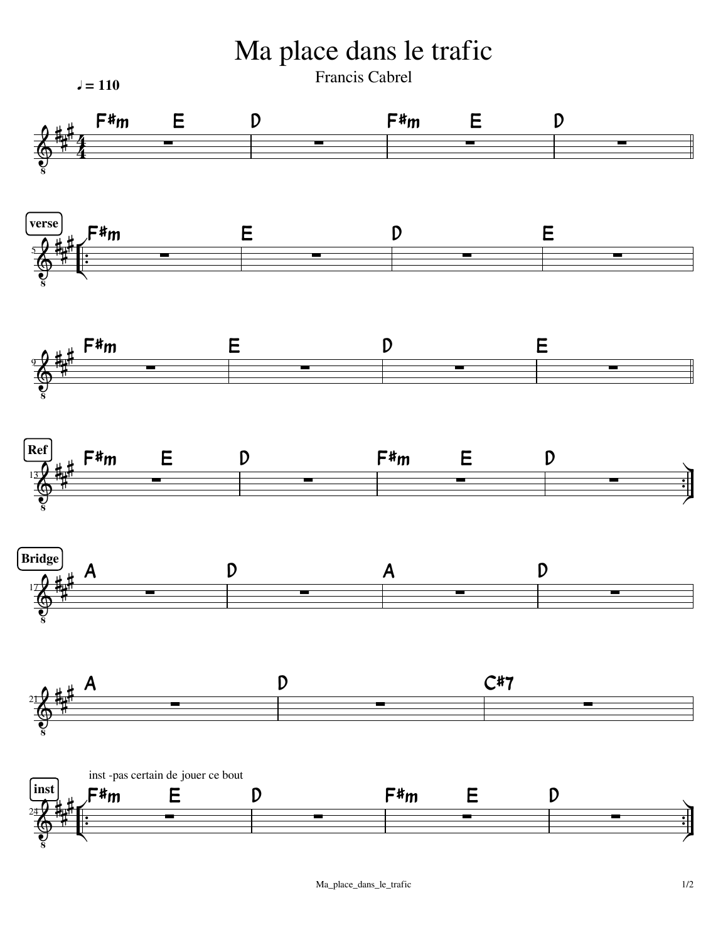Ma place dans le trafic

Francis Cabrel